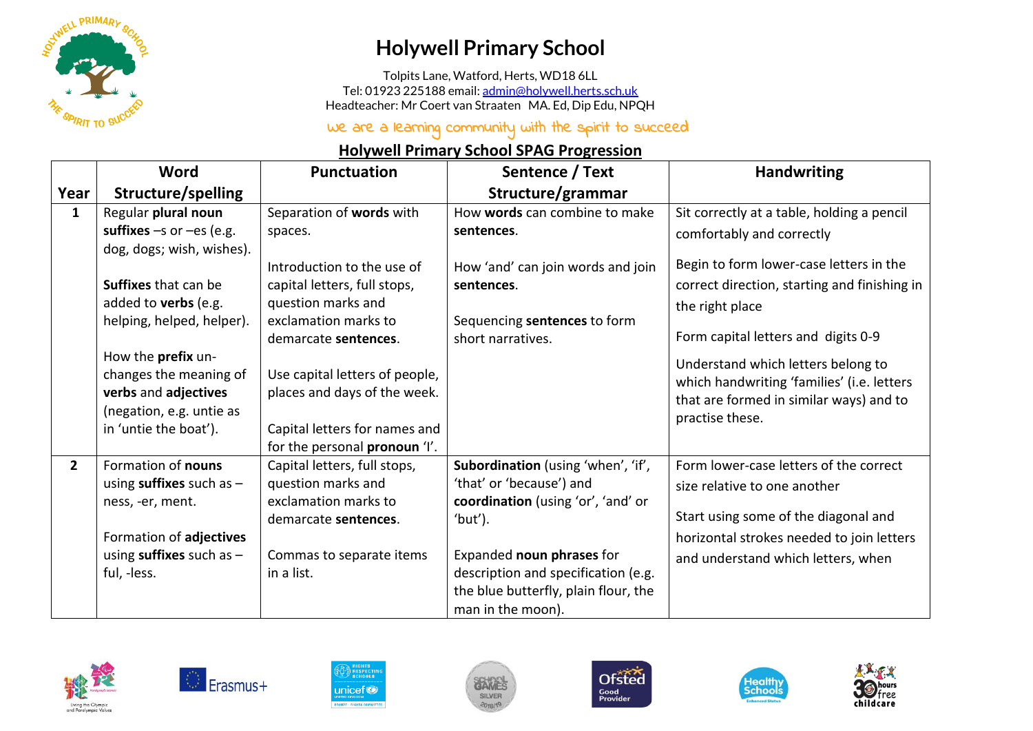

## **Holywell Primary School**

Tolpits Lane, Watford, Herts, WD18 6LL Tel: 01923 225188 email[: admin@holywell.herts.sch.uk](mailto:admin@holywell.herts.sch.uk) Headteacher: Mr Coert van Straaten MA. Ed, Dip Edu, NPQH

## We are a learning community with the spirit to succeed

## **Holywell Primary School SPAG Progression**

|              | Word                                                                                                                                                                                                                                                                                                     | <b>Punctuation</b>                                                                                                                                                                                                                                                                                          | Sentence / Text                                                                                                                                                                                                                                  | <b>Handwriting</b>                                                                                                                                                                                                                                                                                                                                                             |
|--------------|----------------------------------------------------------------------------------------------------------------------------------------------------------------------------------------------------------------------------------------------------------------------------------------------------------|-------------------------------------------------------------------------------------------------------------------------------------------------------------------------------------------------------------------------------------------------------------------------------------------------------------|--------------------------------------------------------------------------------------------------------------------------------------------------------------------------------------------------------------------------------------------------|--------------------------------------------------------------------------------------------------------------------------------------------------------------------------------------------------------------------------------------------------------------------------------------------------------------------------------------------------------------------------------|
| Year         | Structure/spelling                                                                                                                                                                                                                                                                                       |                                                                                                                                                                                                                                                                                                             | Structure/grammar                                                                                                                                                                                                                                |                                                                                                                                                                                                                                                                                                                                                                                |
| $\mathbf{1}$ | Regular plural noun<br>suffixes $-s$ or $-es$ (e.g.<br>dog, dogs; wish, wishes).<br><b>Suffixes that can be</b><br>added to <b>verbs</b> (e.g.<br>helping, helped, helper).<br>How the prefix un-<br>changes the meaning of<br>verbs and adjectives<br>(negation, e.g. untie as<br>in 'untie the boat'). | Separation of words with<br>spaces.<br>Introduction to the use of<br>capital letters, full stops,<br>question marks and<br>exclamation marks to<br>demarcate sentences.<br>Use capital letters of people,<br>places and days of the week.<br>Capital letters for names and<br>for the personal pronoun 'I'. | How words can combine to make<br>sentences.<br>How 'and' can join words and join<br>sentences.<br>Sequencing sentences to form<br>short narratives.                                                                                              | Sit correctly at a table, holding a pencil<br>comfortably and correctly<br>Begin to form lower-case letters in the<br>correct direction, starting and finishing in<br>the right place<br>Form capital letters and digits 0-9<br>Understand which letters belong to<br>which handwriting 'families' (i.e. letters<br>that are formed in similar ways) and to<br>practise these. |
| $2^{\circ}$  | Formation of nouns<br>using suffixes such as $-$<br>ness, -er, ment.<br>Formation of adjectives<br>using suffixes such as $-$<br>ful, -less.                                                                                                                                                             | Capital letters, full stops,<br>question marks and<br>exclamation marks to<br>demarcate sentences.<br>Commas to separate items<br>in a list.                                                                                                                                                                | Subordination (using 'when', 'if',<br>'that' or 'because') and<br>coordination (using 'or', 'and' or<br>'but').<br>Expanded noun phrases for<br>description and specification (e.g.<br>the blue butterfly, plain flour, the<br>man in the moon). | Form lower-case letters of the correct<br>size relative to one another<br>Start using some of the diagonal and<br>horizontal strokes needed to join letters<br>and understand which letters, when                                                                                                                                                                              |













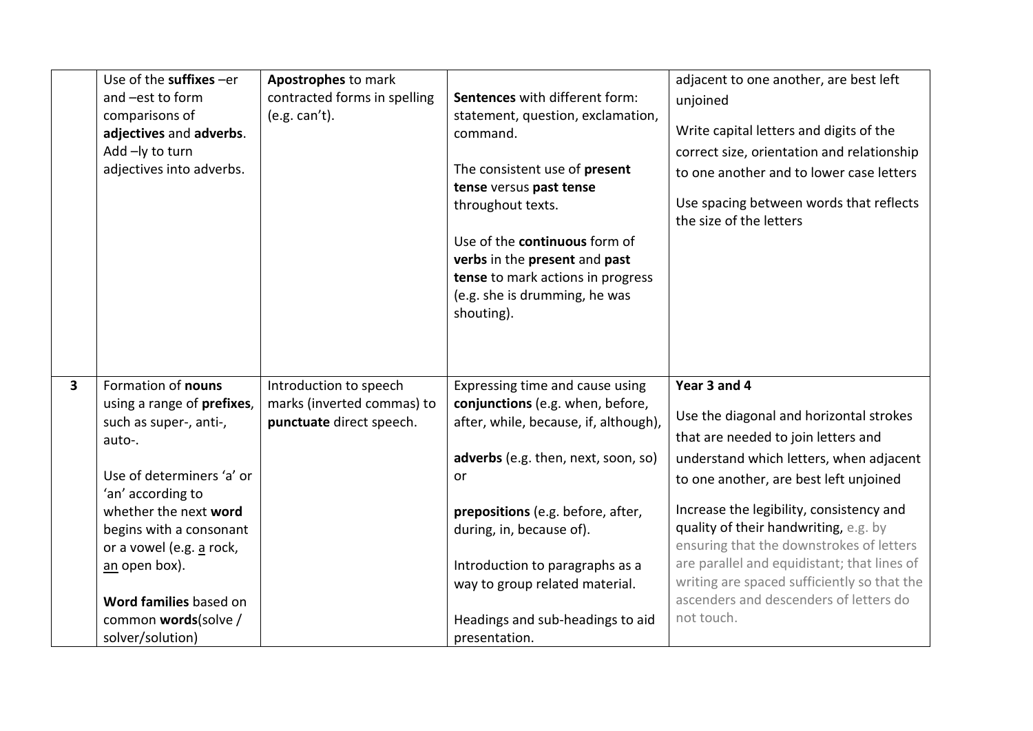|                         | Use of the suffixes -er    | Apostrophes to mark          |                                       | adjacent to one another, are best left                             |
|-------------------------|----------------------------|------------------------------|---------------------------------------|--------------------------------------------------------------------|
|                         | and -est to form           | contracted forms in spelling | Sentences with different form:        | unjoined                                                           |
|                         | comparisons of             | (e.g. can't).                | statement, question, exclamation,     |                                                                    |
|                         | adjectives and adverbs.    |                              | command.                              | Write capital letters and digits of the                            |
|                         | Add -ly to turn            |                              |                                       | correct size, orientation and relationship                         |
|                         | adjectives into adverbs.   |                              | The consistent use of present         | to one another and to lower case letters                           |
|                         |                            |                              | tense versus past tense               |                                                                    |
|                         |                            |                              | throughout texts.                     | Use spacing between words that reflects<br>the size of the letters |
|                         |                            |                              | Use of the <b>continuous</b> form of  |                                                                    |
|                         |                            |                              | verbs in the present and past         |                                                                    |
|                         |                            |                              | tense to mark actions in progress     |                                                                    |
|                         |                            |                              | (e.g. she is drumming, he was         |                                                                    |
|                         |                            |                              | shouting).                            |                                                                    |
|                         |                            |                              |                                       |                                                                    |
|                         |                            |                              |                                       |                                                                    |
|                         |                            |                              |                                       |                                                                    |
| $\overline{\mathbf{3}}$ | Formation of nouns         | Introduction to speech       | Expressing time and cause using       | Year 3 and 4                                                       |
|                         | using a range of prefixes, | marks (inverted commas) to   | conjunctions (e.g. when, before,      |                                                                    |
|                         | such as super-, anti-,     | punctuate direct speech.     | after, while, because, if, although), | Use the diagonal and horizontal strokes                            |
|                         | auto-.                     |                              |                                       | that are needed to join letters and                                |
|                         |                            |                              | adverbs (e.g. then, next, soon, so)   | understand which letters, when adjacent                            |
|                         | Use of determiners 'a' or  |                              | or                                    | to one another, are best left unjoined                             |
|                         | 'an' according to          |                              |                                       |                                                                    |
|                         | whether the next word      |                              | prepositions (e.g. before, after,     | Increase the legibility, consistency and                           |
|                         | begins with a consonant    |                              | during, in, because of).              | quality of their handwriting, e.g. by                              |
|                         | or a vowel (e.g. a rock,   |                              |                                       | ensuring that the downstrokes of letters                           |
|                         | an open box).              |                              | Introduction to paragraphs as a       | are parallel and equidistant; that lines of                        |
|                         |                            |                              |                                       |                                                                    |
|                         |                            |                              | way to group related material.        | writing are spaced sufficiently so that the                        |
|                         | Word families based on     |                              |                                       | ascenders and descenders of letters do                             |
|                         | common words(solve /       |                              | Headings and sub-headings to aid      | not touch.                                                         |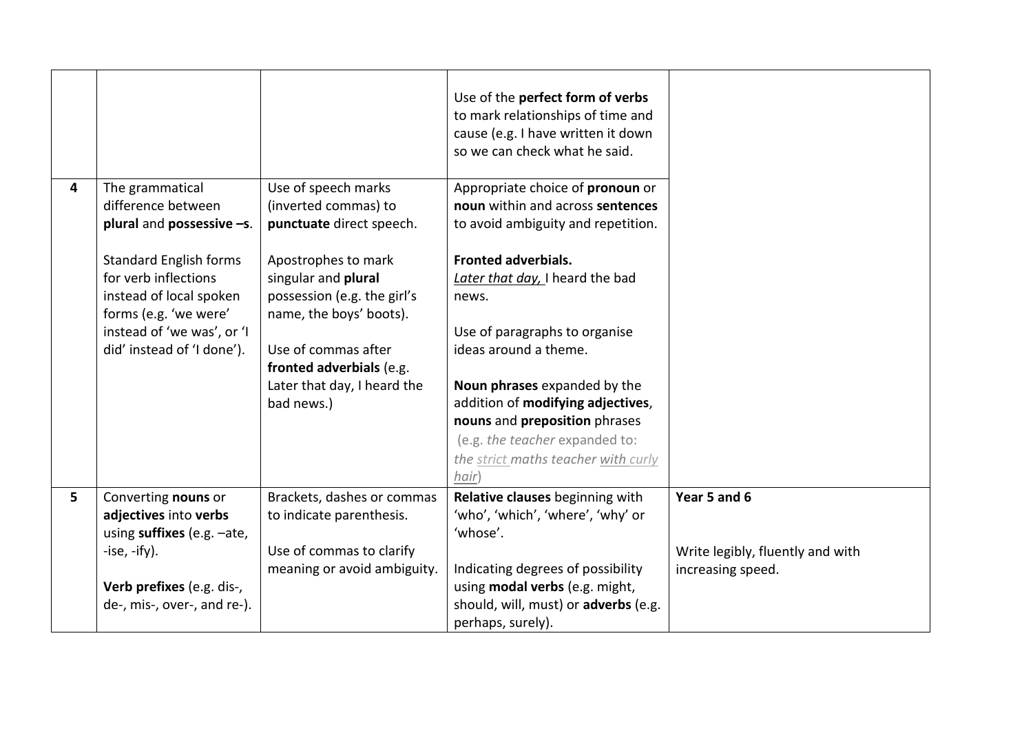|   |                                                                                                           |                                                                                                      | Use of the perfect form of verbs<br>to mark relationships of time and<br>cause (e.g. I have written it down<br>so we can check what he said. |                                                       |
|---|-----------------------------------------------------------------------------------------------------------|------------------------------------------------------------------------------------------------------|----------------------------------------------------------------------------------------------------------------------------------------------|-------------------------------------------------------|
| 4 | The grammatical<br>difference between<br>plural and possessive -s.                                        | Use of speech marks<br>(inverted commas) to<br>punctuate direct speech.                              | Appropriate choice of pronoun or<br>noun within and across sentences<br>to avoid ambiguity and repetition.                                   |                                                       |
|   | <b>Standard English forms</b><br>for verb inflections<br>instead of local spoken<br>forms (e.g. 'we were' | Apostrophes to mark<br>singular and plural<br>possession (e.g. the girl's<br>name, the boys' boots). | <b>Fronted adverbials.</b><br>Later that day, I heard the bad<br>news.                                                                       |                                                       |
|   | instead of 'we was', or 'I<br>did' instead of 'I done').                                                  | Use of commas after<br>fronted adverbials (e.g.<br>Later that day, I heard the                       | Use of paragraphs to organise<br>ideas around a theme.<br>Noun phrases expanded by the                                                       |                                                       |
|   |                                                                                                           | bad news.)                                                                                           | addition of modifying adjectives,<br>nouns and preposition phrases<br>(e.g. the teacher expanded to:                                         |                                                       |
|   |                                                                                                           |                                                                                                      | the strict maths teacher with curly<br>hair)                                                                                                 |                                                       |
| 5 | Converting nouns or<br>adjectives into verbs<br>using suffixes (e.g. -ate,                                | Brackets, dashes or commas<br>to indicate parenthesis.                                               | Relative clauses beginning with<br>'who', 'which', 'where', 'why' or<br>'whose'.                                                             | Year 5 and 6                                          |
|   | $-ise, -ify).$                                                                                            | Use of commas to clarify<br>meaning or avoid ambiguity.                                              | Indicating degrees of possibility                                                                                                            | Write legibly, fluently and with<br>increasing speed. |
|   | Verb prefixes (e.g. dis-,<br>de-, mis-, over-, and re-).                                                  |                                                                                                      | using modal verbs (e.g. might,<br>should, will, must) or adverbs (e.g.<br>perhaps, surely).                                                  |                                                       |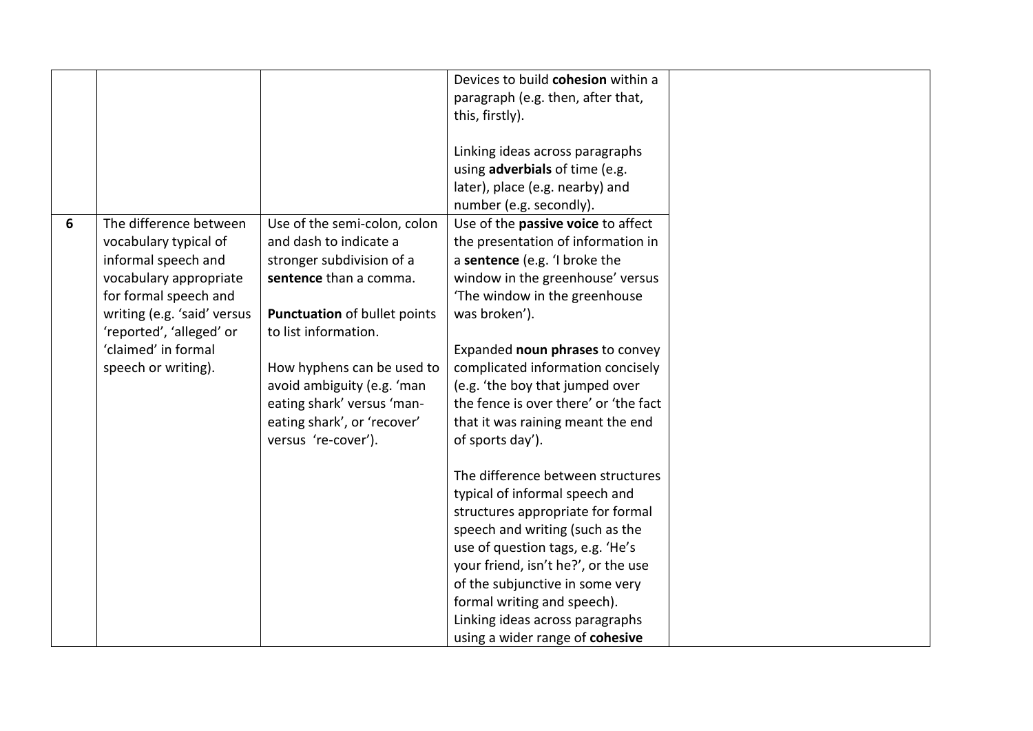|   |                             |                              | Devices to build cohesion within a    |  |
|---|-----------------------------|------------------------------|---------------------------------------|--|
|   |                             |                              | paragraph (e.g. then, after that,     |  |
|   |                             |                              | this, firstly).                       |  |
|   |                             |                              |                                       |  |
|   |                             |                              | Linking ideas across paragraphs       |  |
|   |                             |                              | using adverbials of time (e.g.        |  |
|   |                             |                              | later), place (e.g. nearby) and       |  |
|   |                             |                              |                                       |  |
|   |                             |                              | number (e.g. secondly).               |  |
| 6 | The difference between      | Use of the semi-colon, colon | Use of the passive voice to affect    |  |
|   | vocabulary typical of       | and dash to indicate a       | the presentation of information in    |  |
|   | informal speech and         | stronger subdivision of a    | a sentence (e.g. 'I broke the         |  |
|   | vocabulary appropriate      | sentence than a comma.       | window in the greenhouse' versus      |  |
|   | for formal speech and       |                              | 'The window in the greenhouse         |  |
|   | writing (e.g. 'said' versus | Punctuation of bullet points | was broken').                         |  |
|   | 'reported', 'alleged' or    | to list information.         |                                       |  |
|   | 'claimed' in formal         |                              | Expanded noun phrases to convey       |  |
|   | speech or writing).         | How hyphens can be used to   | complicated information concisely     |  |
|   |                             | avoid ambiguity (e.g. 'man   | (e.g. 'the boy that jumped over       |  |
|   |                             | eating shark' versus 'man-   | the fence is over there' or 'the fact |  |
|   |                             | eating shark', or 'recover'  | that it was raining meant the end     |  |
|   |                             | versus 're-cover').          | of sports day').                      |  |
|   |                             |                              |                                       |  |
|   |                             |                              | The difference between structures     |  |
|   |                             |                              | typical of informal speech and        |  |
|   |                             |                              | structures appropriate for formal     |  |
|   |                             |                              | speech and writing (such as the       |  |
|   |                             |                              | use of question tags, e.g. 'He's      |  |
|   |                             |                              | your friend, isn't he?', or the use   |  |
|   |                             |                              | of the subjunctive in some very       |  |
|   |                             |                              | formal writing and speech).           |  |
|   |                             |                              | Linking ideas across paragraphs       |  |
|   |                             |                              | using a wider range of cohesive       |  |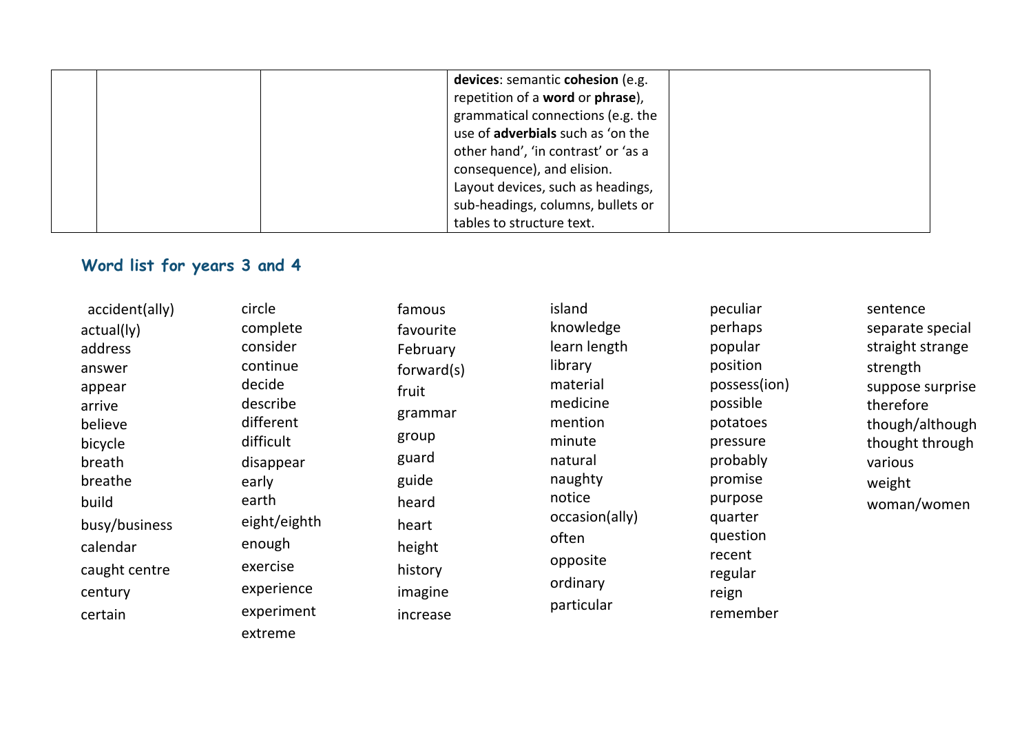|  | devices: semantic cohesion (e.g.    |
|--|-------------------------------------|
|  | repetition of a word or phrase),    |
|  | grammatical connections (e.g. the   |
|  | use of adverbials such as 'on the   |
|  | other hand', 'in contrast' or 'as a |
|  | consequence), and elision.          |
|  | Layout devices, such as headings,   |
|  | sub-headings, columns, bullets or   |
|  | tables to structure text.           |

## **Word list for years 3 and 4**

accident(ally) actual(ly) address answer appear arrive believe bicycle breath breathe build busy/business calendar caught centre century certain

circle complete consider continue decide describe different difficult disappear early earth eight/eighth enough exercise experience experiment extreme

famous favourite February forward(s) fruit grammar group guard guide heard heart height history imagine increase

island knowledge learn length library material medicine mention minute natural naughty notice occasion(ally) often opposite ordinary particular

peculiar perhaps popular position possess(ion) possible potatoes pressure probably promise purpose quarter question recent regular reign remember

sentence separate special straight strange strength suppose surprise therefore though/although thought through various weight woman/women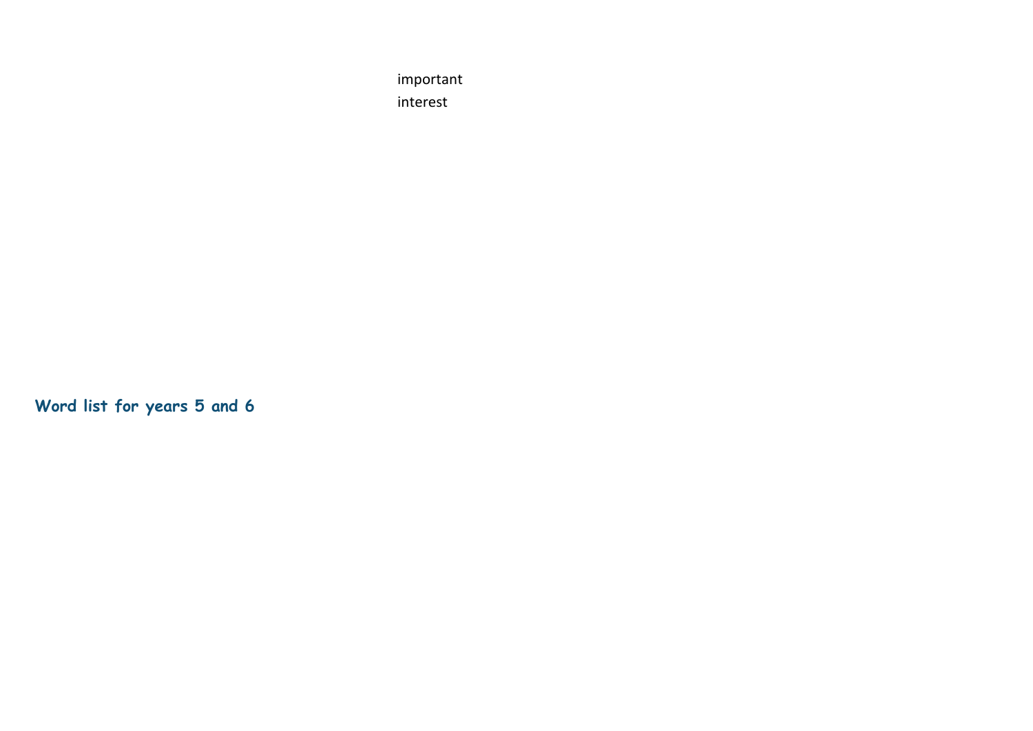important interest

**Word list for years 5 and 6**